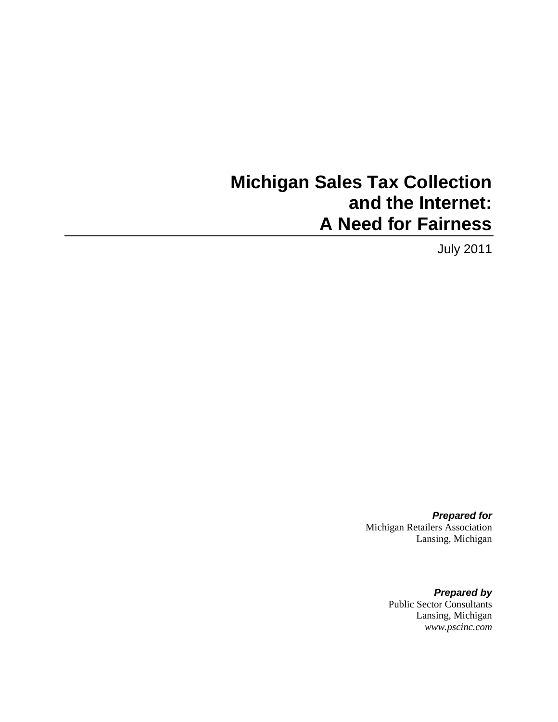# **Michigan Sales Tax Collection and the Internet: A Need for Fairness**

July 2011

*Prepared for* Michigan Retailers Association Lansing, Michigan

> *Prepared by* Public Sector Consultants Lansing, Michigan *www.pscinc.com*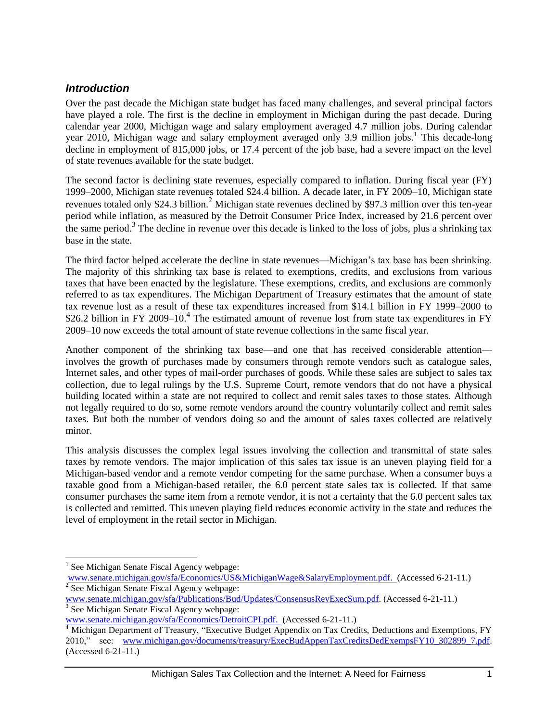## *Introduction*

Over the past decade the Michigan state budget has faced many challenges, and several principal factors have played a role. The first is the decline in employment in Michigan during the past decade. During calendar year 2000, Michigan wage and salary employment averaged 4.7 million jobs. During calendar year 2010, Michigan wage and salary employment averaged only 3.9 million jobs. $1$  This decade-long decline in employment of 815,000 jobs, or 17.4 percent of the job base, had a severe impact on the level of state revenues available for the state budget.

The second factor is declining state revenues, especially compared to inflation. During fiscal year (FY) 1999–2000, Michigan state revenues totaled \$24.4 billion. A decade later, in FY 2009–10, Michigan state revenues totaled only \$24.3 billion.<sup>2</sup> Michigan state revenues declined by \$97.3 million over this ten-year period while inflation, as measured by the Detroit Consumer Price Index, increased by 21.6 percent over the same period.<sup>3</sup> The decline in revenue over this decade is linked to the loss of jobs, plus a shrinking tax base in the state.

The third factor helped accelerate the decline in state revenues—Michigan's tax base has been shrinking. The majority of this shrinking tax base is related to exemptions, credits, and exclusions from various taxes that have been enacted by the legislature. These exemptions, credits, and exclusions are commonly referred to as tax expenditures. The Michigan Department of Treasury estimates that the amount of state tax revenue lost as a result of these tax expenditures increased from \$14.1 billion in FY 1999–2000 to \$26.2 billion in FY 2009–10.<sup>4</sup> The estimated amount of revenue lost from state tax expenditures in FY 2009–10 now exceeds the total amount of state revenue collections in the same fiscal year.

Another component of the shrinking tax base—and one that has received considerable attention involves the growth of purchases made by consumers through remote vendors such as catalogue sales, Internet sales, and other types of mail-order purchases of goods. While these sales are subject to sales tax collection, due to legal rulings by the U.S. Supreme Court, remote vendors that do not have a physical building located within a state are not required to collect and remit sales taxes to those states. Although not legally required to do so, some remote vendors around the country voluntarily collect and remit sales taxes. But both the number of vendors doing so and the amount of sales taxes collected are relatively minor.

This analysis discusses the complex legal issues involving the collection and transmittal of state sales taxes by remote vendors. The major implication of this sales tax issue is an uneven playing field for a Michigan-based vendor and a remote vendor competing for the same purchase. When a consumer buys a taxable good from a Michigan-based retailer, the 6.0 percent state sales tax is collected. If that same consumer purchases the same item from a remote vendor, it is not a certainty that the 6.0 percent sales tax is collected and remitted. This uneven playing field reduces economic activity in the state and reduces the level of employment in the retail sector in Michigan.

<sup>1</sup> See Michigan Senate Fiscal Agency webpage:

[www.senate.michigan.gov/sfa/Economics/US&MichiganWage&SalaryEmployment.pdf.](http://www.senate.michigan.gov/sfa/Economics/US&MichiganWage&SalaryEmployment.pdf) (Accessed 6-21-11.) <sup>2</sup> See Michigan Senate Fiscal Agency webpage:

[www.senate.michigan.gov/sfa/Publications/Bud/Updates/ConsensusRevExecSum.pdf.](http://www.senate.michigan.gov/sfa/Publications/Bud/Updates/ConsensusRevExecSum.pdf) (Accessed 6-21-11.) <sup>3</sup> See Michigan Senate Fiscal Agency webpage:

[www.senate.michigan.gov/sfa/Economics/DetroitCPI.pdf.](http://www.senate.michigan.gov/sfa/Economics/DetroitCPI.pdf) (Accessed 6-21-11.)

<sup>&</sup>lt;sup>4</sup> Michigan Department of Treasury, "Executive Budget Appendix on Tax Credits, Deductions and Exemptions, FY 2010," see: [www.michigan.gov/documents/treasury/ExecBudAppenTaxCreditsDedExempsFY10\\_302899\\_7.pdf.](http://www.michigan.gov/documents/treasury/ExecBudAppenTaxCreditsDedExempsFY10_302899_7.pdf) (Accessed 6-21-11.)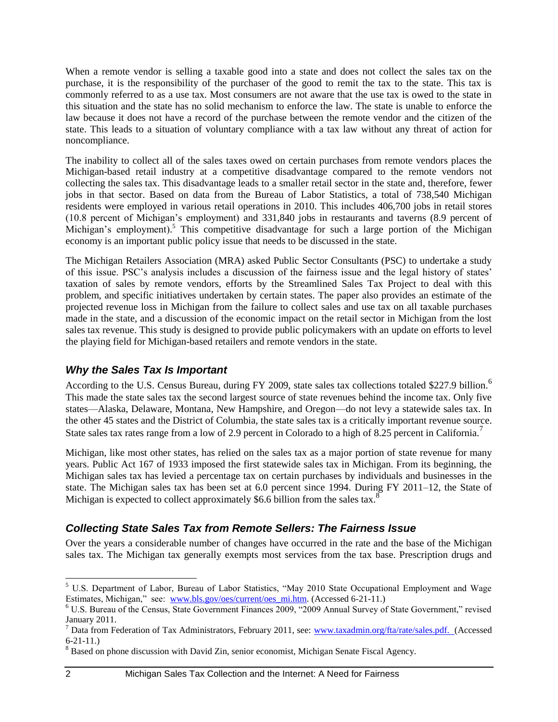When a remote vendor is selling a taxable good into a state and does not collect the sales tax on the purchase, it is the responsibility of the purchaser of the good to remit the tax to the state. This tax is commonly referred to as a use tax. Most consumers are not aware that the use tax is owed to the state in this situation and the state has no solid mechanism to enforce the law. The state is unable to enforce the law because it does not have a record of the purchase between the remote vendor and the citizen of the state. This leads to a situation of voluntary compliance with a tax law without any threat of action for noncompliance.

The inability to collect all of the sales taxes owed on certain purchases from remote vendors places the Michigan-based retail industry at a competitive disadvantage compared to the remote vendors not collecting the sales tax. This disadvantage leads to a smaller retail sector in the state and, therefore, fewer jobs in that sector. Based on data from the Bureau of Labor Statistics, a total of 738,540 Michigan residents were employed in various retail operations in 2010. This includes 406,700 jobs in retail stores (10.8 percent of Michigan's employment) and 331,840 jobs in restaurants and taverns (8.9 percent of Michigan's employment).<sup>5</sup> This competitive disadvantage for such a large portion of the Michigan economy is an important public policy issue that needs to be discussed in the state.

The Michigan Retailers Association (MRA) asked Public Sector Consultants (PSC) to undertake a study of this issue. PSC's analysis includes a discussion of the fairness issue and the legal history of states' taxation of sales by remote vendors, efforts by the Streamlined Sales Tax Project to deal with this problem, and specific initiatives undertaken by certain states. The paper also provides an estimate of the projected revenue loss in Michigan from the failure to collect sales and use tax on all taxable purchases made in the state, and a discussion of the economic impact on the retail sector in Michigan from the lost sales tax revenue. This study is designed to provide public policymakers with an update on efforts to level the playing field for Michigan-based retailers and remote vendors in the state.

# *Why the Sales Tax Is Important*

According to the U.S. Census Bureau, during FY 2009, state sales tax collections totaled \$227.9 billion.<sup>6</sup> This made the state sales tax the second largest source of state revenues behind the income tax. Only five states—Alaska, Delaware, Montana, New Hampshire, and Oregon—do not levy a statewide sales tax. In the other 45 states and the District of Columbia, the state sales tax is a critically important revenue source. State sales tax rates range from a low of 2.9 percent in Colorado to a high of 8.25 percent in California.<sup>7</sup>

Michigan, like most other states, has relied on the sales tax as a major portion of state revenue for many years. Public Act 167 of 1933 imposed the first statewide sales tax in Michigan. From its beginning, the Michigan sales tax has levied a percentage tax on certain purchases by individuals and businesses in the state. The Michigan sales tax has been set at 6.0 percent since 1994. During FY 2011–12, the State of Michigan is expected to collect approximately \$6.6 billion from the sales tax.<sup>8</sup>

# *Collecting State Sales Tax from Remote Sellers: The Fairness Issue*

Over the years a considerable number of changes have occurred in the rate and the base of the Michigan sales tax. The Michigan tax generally exempts most services from the tax base. Prescription drugs and

 $\overline{a}$ 

<sup>&</sup>lt;sup>5</sup> U.S. Department of Labor, Bureau of Labor Statistics, "May 2010 State Occupational Employment and Wage Estimates, Michigan," see: [www.bls.gov/oes/current/oes\\_mi.htm.](http://www.bls.gov/oes/current/oes_mi.htm) (Accessed 6-21-11.)

 $6$  U.S. Bureau of the Census, State Government Finances 2009, "2009 Annual Survey of State Government," revised January 2011.

<sup>&</sup>lt;sup>7</sup> Data from Federation of Tax Administrators, February 2011, see: [www.taxadmin.org/fta/rate/sales.pdf.](http://www.taxadmin.org/fta/rate/sales.pdf) (Accessed 6-21-11.)

<sup>&</sup>lt;sup>8</sup> Based on phone discussion with David Zin, senior economist, Michigan Senate Fiscal Agency.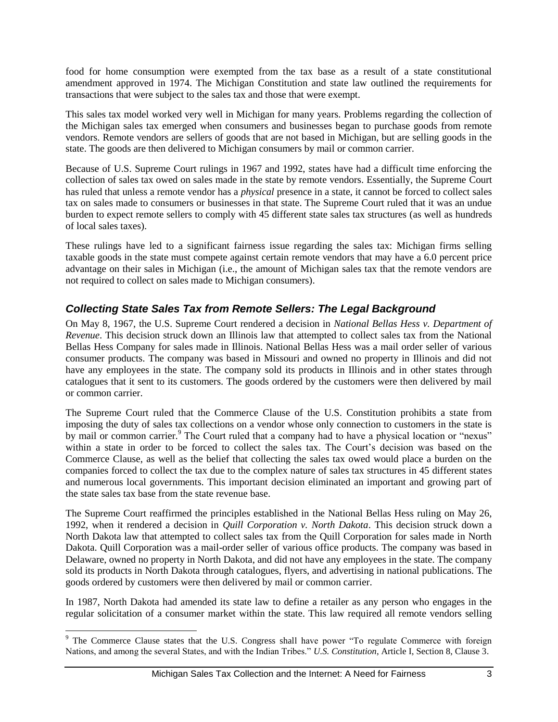food for home consumption were exempted from the tax base as a result of a state constitutional amendment approved in 1974. The Michigan Constitution and state law outlined the requirements for transactions that were subject to the sales tax and those that were exempt.

This sales tax model worked very well in Michigan for many years. Problems regarding the collection of the Michigan sales tax emerged when consumers and businesses began to purchase goods from remote vendors. Remote vendors are sellers of goods that are not based in Michigan, but are selling goods in the state. The goods are then delivered to Michigan consumers by mail or common carrier.

Because of U.S. Supreme Court rulings in 1967 and 1992, states have had a difficult time enforcing the collection of sales tax owed on sales made in the state by remote vendors. Essentially, the Supreme Court has ruled that unless a remote vendor has a *physical* presence in a state, it cannot be forced to collect sales tax on sales made to consumers or businesses in that state. The Supreme Court ruled that it was an undue burden to expect remote sellers to comply with 45 different state sales tax structures (as well as hundreds of local sales taxes).

These rulings have led to a significant fairness issue regarding the sales tax: Michigan firms selling taxable goods in the state must compete against certain remote vendors that may have a 6.0 percent price advantage on their sales in Michigan (i.e., the amount of Michigan sales tax that the remote vendors are not required to collect on sales made to Michigan consumers).

# *Collecting State Sales Tax from Remote Sellers: The Legal Background*

On May 8, 1967, the U.S. Supreme Court rendered a decision in *National Bellas Hess v. Department of Revenue*. This decision struck down an Illinois law that attempted to collect sales tax from the National Bellas Hess Company for sales made in Illinois. National Bellas Hess was a mail order seller of various consumer products. The company was based in Missouri and owned no property in Illinois and did not have any employees in the state. The company sold its products in Illinois and in other states through catalogues that it sent to its customers. The goods ordered by the customers were then delivered by mail or common carrier.

The Supreme Court ruled that the Commerce Clause of the U.S. Constitution prohibits a state from imposing the duty of sales tax collections on a vendor whose only connection to customers in the state is by mail or common carrier.<sup>9</sup> The Court ruled that a company had to have a physical location or "nexus" within a state in order to be forced to collect the sales tax. The Court's decision was based on the Commerce Clause, as well as the belief that collecting the sales tax owed would place a burden on the companies forced to collect the tax due to the complex nature of sales tax structures in 45 different states and numerous local governments. This important decision eliminated an important and growing part of the state sales tax base from the state revenue base.

The Supreme Court reaffirmed the principles established in the National Bellas Hess ruling on May 26, 1992, when it rendered a decision in *Quill Corporation v. North Dakota*. This decision struck down a North Dakota law that attempted to collect sales tax from the Quill Corporation for sales made in North Dakota. Quill Corporation was a mail-order seller of various office products. The company was based in Delaware, owned no property in North Dakota, and did not have any employees in the state. The company sold its products in North Dakota through catalogues, flyers, and advertising in national publications. The goods ordered by customers were then delivered by mail or common carrier.

In 1987, North Dakota had amended its state law to define a retailer as any person who engages in the regular solicitation of a consumer market within the state. This law required all remote vendors selling

 $9$  The Commerce Clause states that the U.S. Congress shall have power "To regulate Commerce with foreign Nations, and among the several States, and with the Indian Tribes." U.S. Constitution, Article I, Section 8, Clause 3.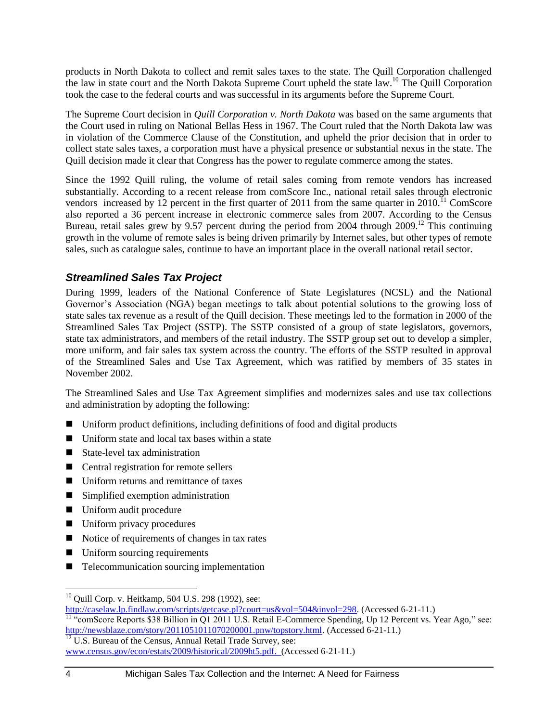products in North Dakota to collect and remit sales taxes to the state. The Quill Corporation challenged the law in state court and the North Dakota Supreme Court upheld the state law.<sup>10</sup> The Quill Corporation took the case to the federal courts and was successful in its arguments before the Supreme Court.

The Supreme Court decision in *Quill Corporation v. North Dakota* was based on the same arguments that the Court used in ruling on National Bellas Hess in 1967. The Court ruled that the North Dakota law was in violation of the Commerce Clause of the Constitution, and upheld the prior decision that in order to collect state sales taxes, a corporation must have a physical presence or substantial nexus in the state. The Quill decision made it clear that Congress has the power to regulate commerce among the states.

Since the 1992 Quill ruling, the volume of retail sales coming from remote vendors has increased substantially. According to a recent release from comScore Inc., national retail sales through electronic vendors increased by 12 percent in the first quarter of 2011 from the same quarter in 2010.<sup>11</sup> ComScore also reported a 36 percent increase in electronic commerce sales from 2007. According to the Census Bureau, retail sales grew by 9.57 percent during the period from 2004 through 2009.<sup>12</sup> This continuing growth in the volume of remote sales is being driven primarily by Internet sales, but other types of remote sales, such as catalogue sales, continue to have an important place in the overall national retail sector.

# *Streamlined Sales Tax Project*

During 1999, leaders of the National Conference of State Legislatures (NCSL) and the National Governor's Association (NGA) began meetings to talk about potential solutions to the growing loss of state sales tax revenue as a result of the Quill decision. These meetings led to the formation in 2000 of the Streamlined Sales Tax Project (SSTP). The SSTP consisted of a group of state legislators, governors, state tax administrators, and members of the retail industry. The SSTP group set out to develop a simpler, more uniform, and fair sales tax system across the country. The efforts of the SSTP resulted in approval of the Streamlined Sales and Use Tax Agreement, which was ratified by members of 35 states in November 2002.

The Streamlined Sales and Use Tax Agreement simplifies and modernizes sales and use tax collections and administration by adopting the following:

- Uniform product definitions, including definitions of food and digital products
- Uniform state and local tax bases within a state
- State-level tax administration
- Central registration for remote sellers
- Uniform returns and remittance of taxes
- **Simplified exemption administration**
- Uniform audit procedure
- Uniform privacy procedures
- $\blacksquare$  Notice of requirements of changes in tax rates
- Uniform sourcing requirements
- Telecommunication sourcing implementation

 $10$  Quill Corp. v. Heitkamp, 504 U.S. 298 (1992), see:

[http://caselaw.lp.findlaw.com/scripts/getcase.pl?court=us&vol=504&invol=298.](http://caselaw.lp.findlaw.com/scripts/getcase.pl?court=us&vol=504&invol=298) (Accessed 6-21-11.)

<sup>&</sup>lt;sup>11</sup> "comScore Reports \$38 Billion in Q1 2011 U.S. Retail E-Commerce Spending, Up 12 Percent vs. Year Ago," see: [http://newsblaze.com/story/2011051011070200001.pnw/topstory.html.](http://newsblaze.com/story/2011051011070200001.pnw/topstory.html) (Accessed 6-21-11.)

 $12$  U.S. Bureau of the Census, Annual Retail Trade Survey, see:

[www.census.gov/econ/estats/2009/historical/2009ht5.pdf.](http://www.census.gov/econ/estats/2009/historical/2009ht5.pdf) (Accessed 6-21-11.)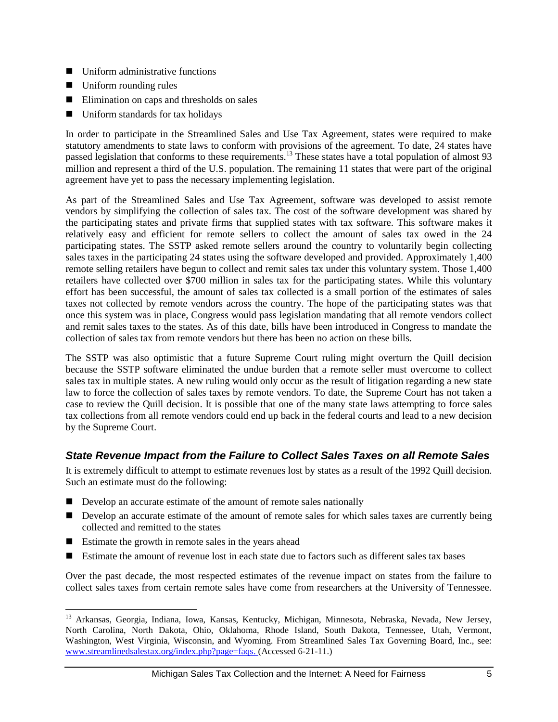- Uniform administrative functions
- Uniform rounding rules
- **Elimination on caps and thresholds on sales**
- Uniform standards for tax holidays

In order to participate in the Streamlined Sales and Use Tax Agreement, states were required to make statutory amendments to state laws to conform with provisions of the agreement. To date, 24 states have passed legislation that conforms to these requirements.<sup>13</sup> These states have a total population of almost 93 million and represent a third of the U.S. population. The remaining 11 states that were part of the original agreement have yet to pass the necessary implementing legislation.

As part of the Streamlined Sales and Use Tax Agreement, software was developed to assist remote vendors by simplifying the collection of sales tax. The cost of the software development was shared by the participating states and private firms that supplied states with tax software. This software makes it relatively easy and efficient for remote sellers to collect the amount of sales tax owed in the 24 participating states. The SSTP asked remote sellers around the country to voluntarily begin collecting sales taxes in the participating 24 states using the software developed and provided. Approximately 1,400 remote selling retailers have begun to collect and remit sales tax under this voluntary system. Those 1,400 retailers have collected over \$700 million in sales tax for the participating states. While this voluntary effort has been successful, the amount of sales tax collected is a small portion of the estimates of sales taxes not collected by remote vendors across the country. The hope of the participating states was that once this system was in place, Congress would pass legislation mandating that all remote vendors collect and remit sales taxes to the states. As of this date, bills have been introduced in Congress to mandate the collection of sales tax from remote vendors but there has been no action on these bills.

The SSTP was also optimistic that a future Supreme Court ruling might overturn the Quill decision because the SSTP software eliminated the undue burden that a remote seller must overcome to collect sales tax in multiple states. A new ruling would only occur as the result of litigation regarding a new state law to force the collection of sales taxes by remote vendors. To date, the Supreme Court has not taken a case to review the Quill decision. It is possible that one of the many state laws attempting to force sales tax collections from all remote vendors could end up back in the federal courts and lead to a new decision by the Supreme Court.

## *State Revenue Impact from the Failure to Collect Sales Taxes on all Remote Sales*

It is extremely difficult to attempt to estimate revenues lost by states as a result of the 1992 Quill decision. Such an estimate must do the following:

- Develop an accurate estimate of the amount of remote sales nationally
- Develop an accurate estimate of the amount of remote sales for which sales taxes are currently being collected and remitted to the states
- $\blacksquare$  Estimate the growth in remote sales in the years ahead

 $\overline{a}$ 

■ Estimate the amount of revenue lost in each state due to factors such as different sales tax bases

Over the past decade, the most respected estimates of the revenue impact on states from the failure to collect sales taxes from certain remote sales have come from researchers at the University of Tennessee.

<sup>&</sup>lt;sup>13</sup> Arkansas, Georgia, Indiana, Iowa, Kansas, Kentucky, Michigan, Minnesota, Nebraska, Nevada, New Jersey, North Carolina, North Dakota, Ohio, Oklahoma, Rhode Island, South Dakota, Tennessee, Utah, Vermont, Washington, West Virginia, Wisconsin, and Wyoming. From Streamlined Sales Tax Governing Board, Inc., see: [www.streamlinedsalestax.org/index.php?page=faqs.](http://www.streamlinedsalestax.org/index.php?page=faqs) (Accessed 6-21-11.)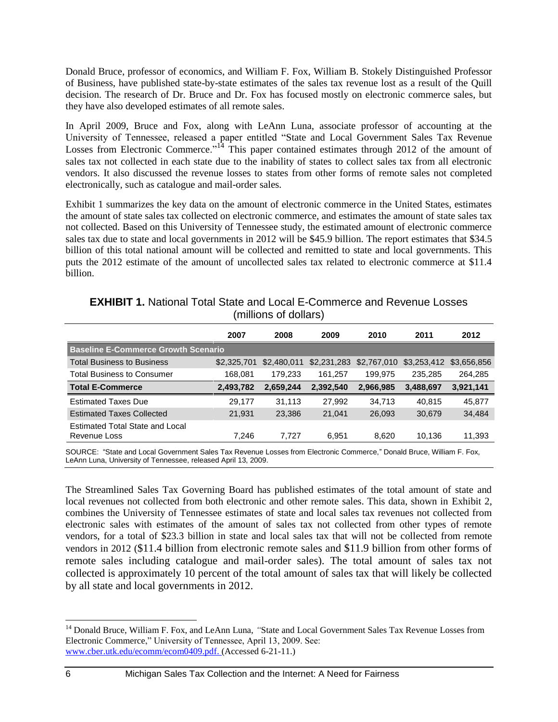Donald Bruce, professor of economics, and William F. Fox, William B. Stokely Distinguished Professor of Business, have published state-by-state estimates of the sales tax revenue lost as a result of the Quill decision. The research of Dr. Bruce and Dr. Fox has focused mostly on electronic commerce sales, but they have also developed estimates of all remote sales.

In April 2009, Bruce and Fox, along with LeAnn Luna, associate professor of accounting at the University of Tennessee, released a paper entitled "State and Local Government Sales Tax Revenue Losses from Electronic Commerce."<sup>14</sup> This paper contained estimates through 2012 of the amount of sales tax not collected in each state due to the inability of states to collect sales tax from all electronic vendors. It also discussed the revenue losses to states from other forms of remote sales not completed electronically, such as catalogue and mail-order sales.

Exhibit 1 summarizes the key data on the amount of electronic commerce in the United States, estimates the amount of state sales tax collected on electronic commerce, and estimates the amount of state sales tax not collected. Based on this University of Tennessee study, the estimated amount of electronic commerce sales tax due to state and local governments in 2012 will be \$45.9 billion. The report estimates that \$34.5 billion of this total national amount will be collected and remitted to state and local governments. This puts the 2012 estimate of the amount of uncollected sales tax related to electronic commerce at \$11.4 billion.

|                                                 | 2007        | 2008        | 2009        | 2010        | 2011        | 2012        |
|-------------------------------------------------|-------------|-------------|-------------|-------------|-------------|-------------|
| <b>Baseline E-Commerce Growth Scenario</b>      |             |             |             |             |             |             |
| <b>Total Business to Business</b>               | \$2,325,701 | \$2,480,011 | \$2,231,283 | \$2,767,010 | \$3,253,412 | \$3,656,856 |
| <b>Total Business to Consumer</b>               | 168,081     | 179.233     | 161,257     | 199.975     | 235,285     | 264,285     |
| <b>Total E-Commerce</b>                         | 2,493,782   | 2,659,244   | 2,392,540   | 2,966,985   | 3,488,697   | 3,921,141   |
| <b>Estimated Taxes Due</b>                      | 29,177      | 31.113      | 27.992      | 34.713      | 40.815      | 45,877      |
| <b>Estimated Taxes Collected</b>                | 21,931      | 23,386      | 21.041      | 26,093      | 30,679      | 34,484      |
| Estimated Total State and Local<br>Revenue Loss | 7,246       | 7.727       | 6,951       | 8,620       | 10,136      | 11,393      |

### **EXHIBIT 1.** National Total State and Local E-Commerce and Revenue Losses (millions of dollars)

SOURCE: "State and Local Government Sales Tax Revenue Losses from Electronic Commerce," Donald Bruce, William F. Fox, LeAnn Luna, University of Tennessee, released April 13, 2009.

The Streamlined Sales Tax Governing Board has published estimates of the total amount of state and local revenues not collected from both electronic and other remote sales. This data, shown in Exhibit 2, combines the University of Tennessee estimates of state and local sales tax revenues not collected from electronic sales with estimates of the amount of sales tax not collected from other types of remote vendors, for a total of \$23.3 billion in state and local sales tax that will not be collected from remote vendors in 2012 (\$11.4 billion from electronic remote sales and \$11.9 billion from other forms of remote sales including catalogue and mail-order sales). The total amount of sales tax not collected is approximately 10 percent of the total amount of sales tax that will likely be collected by all state and local governments in 2012.

<sup>&</sup>lt;sup>14</sup> Donald Bruce, William F. Fox, and LeAnn Luna, "State and Local Government Sales Tax Revenue Losses from Electronic Commerce," University of Tennessee, April 13, 2009. See: [www.cber.utk.edu/ecomm/ecom0409.pdf.](http://www.cber.utk.edu/ecomm/ecom0409.pdf) (Accessed 6-21-11.)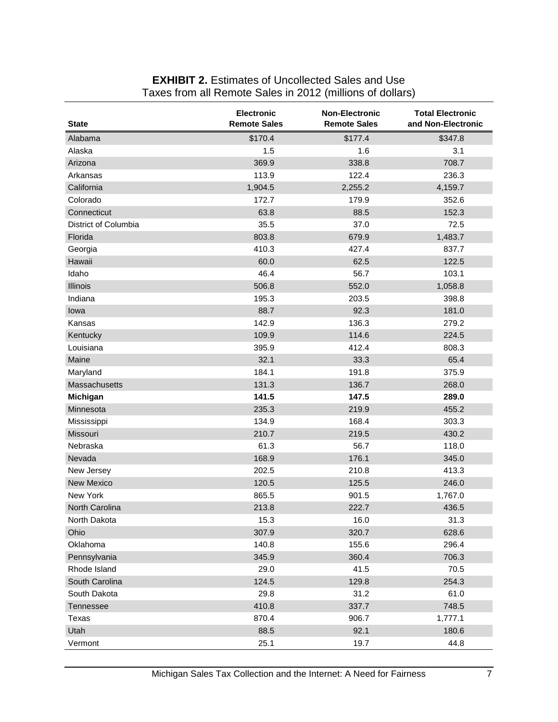# **EXHIBIT 2.** Estimates of Uncollected Sales and Use Taxes from all Remote Sales in 2012 (millions of dollars)

| <b>State</b>         | <b>Electronic</b><br><b>Remote Sales</b> | <b>Non-Electronic</b><br><b>Remote Sales</b> | <b>Total Electronic</b><br>and Non-Electronic |  |
|----------------------|------------------------------------------|----------------------------------------------|-----------------------------------------------|--|
| Alabama              | \$170.4                                  | \$177.4                                      | \$347.8                                       |  |
| Alaska               | 1.5                                      | 1.6                                          | 3.1                                           |  |
| Arizona              | 369.9                                    | 338.8                                        | 708.7                                         |  |
| Arkansas             | 113.9                                    | 122.4                                        | 236.3                                         |  |
| California           | 1,904.5                                  | 2,255.2                                      | 4,159.7                                       |  |
| Colorado             | 172.7                                    | 179.9                                        | 352.6                                         |  |
| Connecticut          | 63.8                                     | 88.5                                         | 152.3                                         |  |
| District of Columbia | 35.5                                     | 37.0                                         | 72.5                                          |  |
| Florida              | 803.8                                    | 679.9                                        | 1,483.7                                       |  |
| Georgia              | 410.3                                    | 427.4                                        | 837.7                                         |  |
| Hawaii               | 60.0                                     | 62.5                                         | 122.5                                         |  |
| Idaho                | 46.4                                     | 56.7                                         | 103.1                                         |  |
| <b>Illinois</b>      | 506.8                                    | 552.0                                        | 1,058.8                                       |  |
| Indiana              | 195.3                                    | 203.5                                        | 398.8                                         |  |
| lowa                 | 88.7                                     | 92.3                                         | 181.0                                         |  |
| Kansas               | 142.9                                    | 136.3                                        | 279.2                                         |  |
| Kentucky             | 109.9                                    | 114.6                                        | 224.5                                         |  |
| Louisiana            | 395.9                                    | 412.4                                        | 808.3                                         |  |
| Maine                | 32.1                                     | 33.3                                         | 65.4                                          |  |
| Maryland             | 184.1                                    | 191.8                                        | 375.9                                         |  |
| Massachusetts        | 131.3                                    | 136.7                                        | 268.0                                         |  |
| Michigan             | 141.5                                    | 147.5                                        | 289.0                                         |  |
| Minnesota            | 235.3                                    | 219.9                                        | 455.2                                         |  |
| Mississippi          | 134.9                                    | 168.4                                        | 303.3                                         |  |
| Missouri             | 210.7                                    | 219.5                                        | 430.2                                         |  |
| Nebraska             | 61.3                                     | 56.7                                         | 118.0                                         |  |
| Nevada               | 168.9                                    | 176.1                                        | 345.0                                         |  |
| New Jersey           | 202.5                                    | 210.8                                        | 413.3                                         |  |
| <b>New Mexico</b>    | 120.5                                    | 125.5                                        | 246.0                                         |  |
| New York             | 865.5                                    | 901.5                                        | 1,767.0                                       |  |
| North Carolina       | 213.8                                    | 222.7                                        | 436.5                                         |  |
| North Dakota         | 15.3                                     | 16.0                                         | 31.3                                          |  |
| Ohio                 | 307.9                                    | 320.7                                        | 628.6                                         |  |
| Oklahoma             | 140.8                                    | 155.6                                        | 296.4                                         |  |
| Pennsylvania         | 345.9                                    | 360.4                                        | 706.3                                         |  |
| Rhode Island         | 29.0                                     | 41.5                                         | 70.5                                          |  |
| South Carolina       | 124.5                                    | 129.8                                        | 254.3                                         |  |
| South Dakota         | 29.8                                     | 31.2                                         | 61.0                                          |  |
| <b>Tennessee</b>     | 410.8                                    | 337.7                                        | 748.5                                         |  |
| Texas                | 870.4                                    | 906.7                                        | 1,777.1                                       |  |
| Utah                 | 88.5                                     | 92.1                                         | 180.6                                         |  |
| Vermont              | 25.1                                     | 19.7                                         | 44.8                                          |  |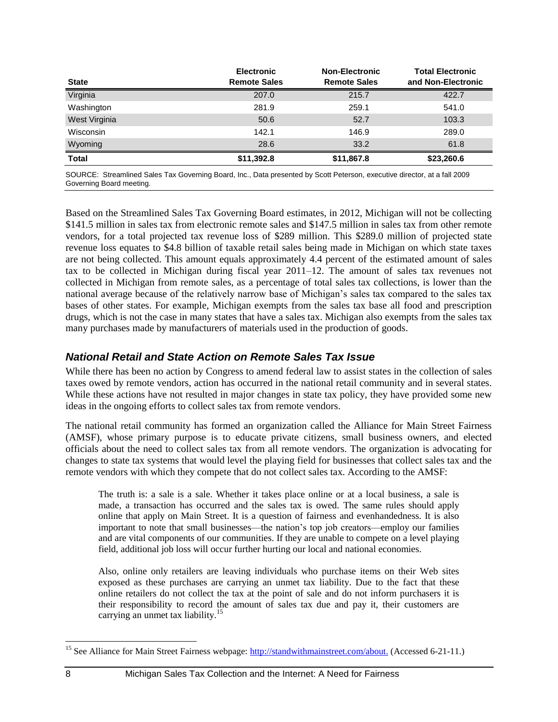| <b>State</b>  | <b>Electronic</b><br><b>Remote Sales</b> | <b>Non-Electronic</b><br><b>Remote Sales</b> | <b>Total Electronic</b><br>and Non-Electronic |
|---------------|------------------------------------------|----------------------------------------------|-----------------------------------------------|
| Virginia      | 207.0                                    | 215.7                                        | 422.7                                         |
| Washington    | 281.9                                    | 259.1                                        | 541.0                                         |
| West Virginia | 50.6                                     | 52.7                                         | 103.3                                         |
| Wisconsin     | 142.1                                    | 146.9                                        | 289.0                                         |
| Wyoming       | 28.6                                     | 33.2                                         | 61.8                                          |
| <b>Total</b>  | \$11,392.8                               | \$11,867.8                                   | \$23,260.6                                    |

SOURCE: Streamlined Sales Tax Governing Board, Inc., Data presented by Scott Peterson, executive director, at a fall 2009 Governing Board meeting.

Based on the Streamlined Sales Tax Governing Board estimates, in 2012, Michigan will not be collecting \$141.5 million in sales tax from electronic remote sales and \$147.5 million in sales tax from other remote vendors, for a total projected tax revenue loss of \$289 million. This \$289.0 million of projected state revenue loss equates to \$4.8 billion of taxable retail sales being made in Michigan on which state taxes are not being collected. This amount equals approximately 4.4 percent of the estimated amount of sales tax to be collected in Michigan during fiscal year 2011–12. The amount of sales tax revenues not collected in Michigan from remote sales, as a percentage of total sales tax collections, is lower than the national average because of the relatively narrow base of Michigan's sales tax compared to the sales tax bases of other states. For example, Michigan exempts from the sales tax base all food and prescription drugs, which is not the case in many states that have a sales tax. Michigan also exempts from the sales tax many purchases made by manufacturers of materials used in the production of goods.

# *National Retail and State Action on Remote Sales Tax Issue*

While there has been no action by Congress to amend federal law to assist states in the collection of sales taxes owed by remote vendors, action has occurred in the national retail community and in several states. While these actions have not resulted in major changes in state tax policy, they have provided some new ideas in the ongoing efforts to collect sales tax from remote vendors.

The national retail community has formed an organization called the Alliance for Main Street Fairness (AMSF), whose primary purpose is to educate private citizens, small business owners, and elected officials about the need to collect sales tax from all remote vendors. The organization is advocating for changes to state tax systems that would level the playing field for businesses that collect sales tax and the remote vendors with which they compete that do not collect sales tax. According to the AMSF:

The truth is: a sale is a sale. Whether it takes place online or at a local business, a sale is made, a transaction has occurred and the sales tax is owed. The same rules should apply online that apply on Main Street. It is a question of fairness and evenhandedness. It is also important to note that small businesses—the nation's top job creators—employ our families and are vital components of our communities. If they are unable to compete on a level playing field, additional job loss will occur further hurting our local and national economies.

Also, online only retailers are leaving individuals who purchase items on their Web sites exposed as these purchases are carrying an unmet tax liability. Due to the fact that these online retailers do not collect the tax at the point of sale and do not inform purchasers it is their responsibility to record the amount of sales tax due and pay it, their customers are carrying an unmet tax liability.<sup>15</sup>

 $\overline{a}$ <sup>15</sup> See Alliance for Main Street Fairness webpage: [http://standwithmainstreet.com/about.](http://standwithmainstreet.com/about) (Accessed 6-21-11.)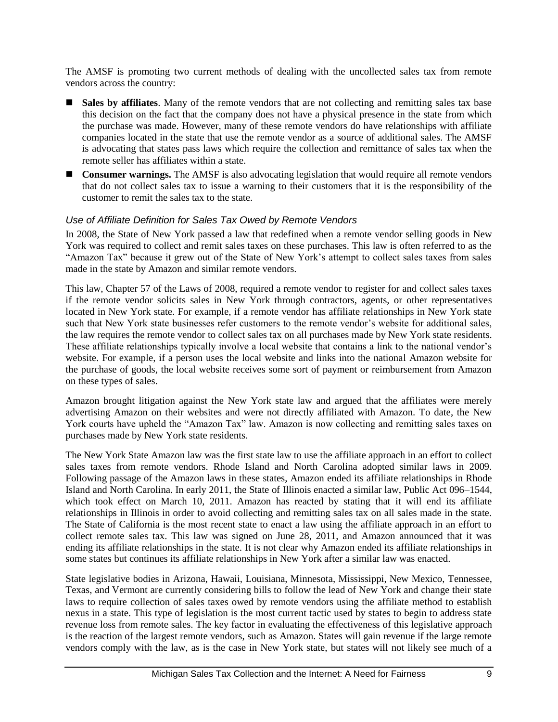The AMSF is promoting two current methods of dealing with the uncollected sales tax from remote vendors across the country:

- **Sales by affiliates**. Many of the remote vendors that are not collecting and remitting sales tax base this decision on the fact that the company does not have a physical presence in the state from which the purchase was made. However, many of these remote vendors do have relationships with affiliate companies located in the state that use the remote vendor as a source of additional sales. The AMSF is advocating that states pass laws which require the collection and remittance of sales tax when the remote seller has affiliates within a state.
- **Consumer warnings.** The AMSF is also advocating legislation that would require all remote vendors that do not collect sales tax to issue a warning to their customers that it is the responsibility of the customer to remit the sales tax to the state.

#### *Use of Affiliate Definition for Sales Tax Owed by Remote Vendors*

In 2008, the State of New York passed a law that redefined when a remote vendor selling goods in New York was required to collect and remit sales taxes on these purchases. This law is often referred to as the ―Amazon Tax‖ because it grew out of the State of New York's attempt to collect sales taxes from sales made in the state by Amazon and similar remote vendors.

This law, Chapter 57 of the Laws of 2008, required a remote vendor to register for and collect sales taxes if the remote vendor solicits sales in New York through contractors, agents, or other representatives located in New York state. For example, if a remote vendor has affiliate relationships in New York state such that New York state businesses refer customers to the remote vendor's website for additional sales, the law requires the remote vendor to collect sales tax on all purchases made by New York state residents. These affiliate relationships typically involve a local website that contains a link to the national vendor's website. For example, if a person uses the local website and links into the national Amazon website for the purchase of goods, the local website receives some sort of payment or reimbursement from Amazon on these types of sales.

Amazon brought litigation against the New York state law and argued that the affiliates were merely advertising Amazon on their websites and were not directly affiliated with Amazon. To date, the New York courts have upheld the "Amazon Tax" law. Amazon is now collecting and remitting sales taxes on purchases made by New York state residents.

The New York State Amazon law was the first state law to use the affiliate approach in an effort to collect sales taxes from remote vendors. Rhode Island and North Carolina adopted similar laws in 2009. Following passage of the Amazon laws in these states, Amazon ended its affiliate relationships in Rhode Island and North Carolina. In early 2011, the State of Illinois enacted a similar law, Public Act 096–1544, which took effect on March 10, 2011. Amazon has reacted by stating that it will end its affiliate relationships in Illinois in order to avoid collecting and remitting sales tax on all sales made in the state. The State of California is the most recent state to enact a law using the affiliate approach in an effort to collect remote sales tax. This law was signed on June 28, 2011, and Amazon announced that it was ending its affiliate relationships in the state. It is not clear why Amazon ended its affiliate relationships in some states but continues its affiliate relationships in New York after a similar law was enacted.

State legislative bodies in Arizona, Hawaii, Louisiana, Minnesota, Mississippi, New Mexico, Tennessee, Texas, and Vermont are currently considering bills to follow the lead of New York and change their state laws to require collection of sales taxes owed by remote vendors using the affiliate method to establish nexus in a state. This type of legislation is the most current tactic used by states to begin to address state revenue loss from remote sales. The key factor in evaluating the effectiveness of this legislative approach is the reaction of the largest remote vendors, such as Amazon. States will gain revenue if the large remote vendors comply with the law, as is the case in New York state, but states will not likely see much of a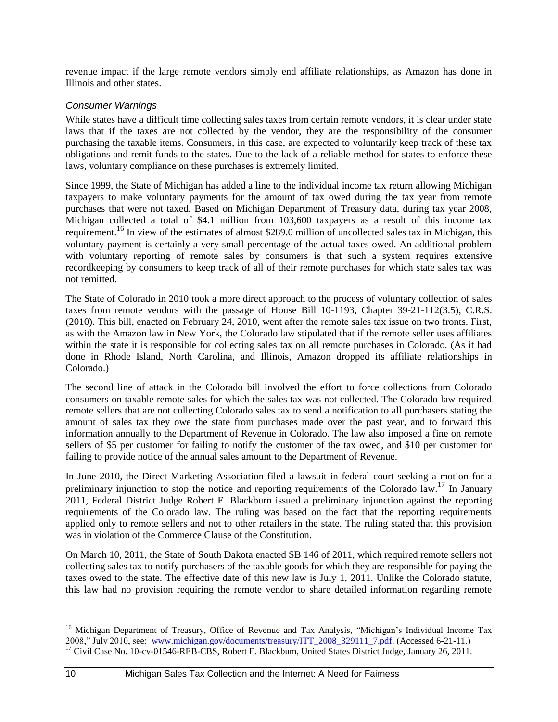revenue impact if the large remote vendors simply end affiliate relationships, as Amazon has done in Illinois and other states.

### *Consumer Warnings*

While states have a difficult time collecting sales taxes from certain remote vendors, it is clear under state laws that if the taxes are not collected by the vendor, they are the responsibility of the consumer purchasing the taxable items. Consumers, in this case, are expected to voluntarily keep track of these tax obligations and remit funds to the states. Due to the lack of a reliable method for states to enforce these laws, voluntary compliance on these purchases is extremely limited.

Since 1999, the State of Michigan has added a line to the individual income tax return allowing Michigan taxpayers to make voluntary payments for the amount of tax owed during the tax year from remote purchases that were not taxed. Based on Michigan Department of Treasury data, during tax year 2008, Michigan collected a total of \$4.1 million from 103,600 taxpayers as a result of this income tax requirement.<sup>16</sup> In view of the estimates of almost \$289.0 million of uncollected sales tax in Michigan, this voluntary payment is certainly a very small percentage of the actual taxes owed. An additional problem with voluntary reporting of remote sales by consumers is that such a system requires extensive recordkeeping by consumers to keep track of all of their remote purchases for which state sales tax was not remitted.

The State of Colorado in 2010 took a more direct approach to the process of voluntary collection of sales taxes from remote vendors with the passage of House Bill 10-1193, Chapter 39-21-112(3.5), C.R.S. (2010). This bill, enacted on February 24, 2010, went after the remote sales tax issue on two fronts. First, as with the Amazon law in New York, the Colorado law stipulated that if the remote seller uses affiliates within the state it is responsible for collecting sales tax on all remote purchases in Colorado. (As it had done in Rhode Island, North Carolina, and Illinois, Amazon dropped its affiliate relationships in Colorado.)

The second line of attack in the Colorado bill involved the effort to force collections from Colorado consumers on taxable remote sales for which the sales tax was not collected. The Colorado law required remote sellers that are not collecting Colorado sales tax to send a notification to all purchasers stating the amount of sales tax they owe the state from purchases made over the past year, and to forward this information annually to the Department of Revenue in Colorado. The law also imposed a fine on remote sellers of \$5 per customer for failing to notify the customer of the tax owed, and \$10 per customer for failing to provide notice of the annual sales amount to the Department of Revenue.

In June 2010, the Direct Marketing Association filed a lawsuit in federal court seeking a motion for a preliminary injunction to stop the notice and reporting requirements of the Colorado law.<sup>17</sup> In January 2011, Federal District Judge Robert E. Blackburn issued a preliminary injunction against the reporting requirements of the Colorado law. The ruling was based on the fact that the reporting requirements applied only to remote sellers and not to other retailers in the state. The ruling stated that this provision was in violation of the Commerce Clause of the Constitution.

On March 10, 2011, the State of South Dakota enacted SB 146 of 2011, which required remote sellers not collecting sales tax to notify purchasers of the taxable goods for which they are responsible for paying the taxes owed to the state. The effective date of this new law is July 1, 2011. Unlike the Colorado statute, this law had no provision requiring the remote vendor to share detailed information regarding remote

<sup>&</sup>lt;sup>16</sup> Michigan Department of Treasury, Office of Revenue and Tax Analysis, "Michigan's Individual Income Tax 2008," July 2010, see: [www.michigan.gov/documents/treasury/ITT\\_2008\\_329111\\_7.pdf.](http://www.michigan.gov/documents/treasury/ITT_2008_329111_7.pdf) (Accessed 6-21-11.) <sup>17</sup> Civil Case No. 10-cv-01546-REB-CBS, Robert E. Blackbum, United States District Judge, January 26, 2011.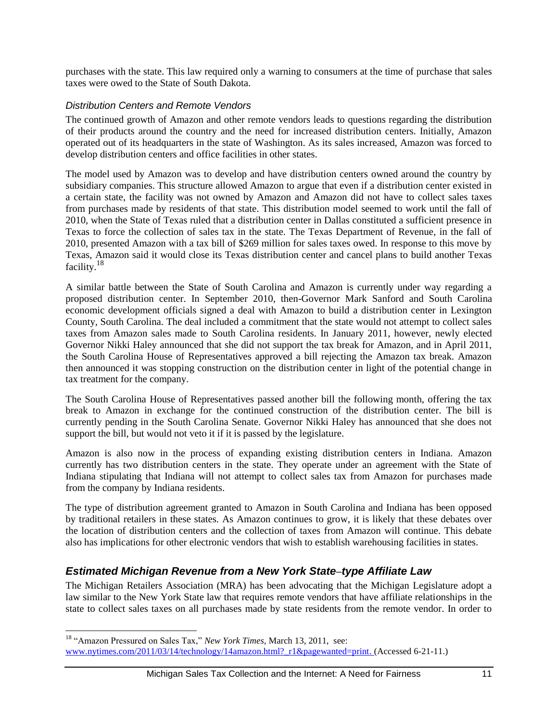purchases with the state. This law required only a warning to consumers at the time of purchase that sales taxes were owed to the State of South Dakota.

### *Distribution Centers and Remote Vendors*

The continued growth of Amazon and other remote vendors leads to questions regarding the distribution of their products around the country and the need for increased distribution centers. Initially, Amazon operated out of its headquarters in the state of Washington. As its sales increased, Amazon was forced to develop distribution centers and office facilities in other states.

The model used by Amazon was to develop and have distribution centers owned around the country by subsidiary companies. This structure allowed Amazon to argue that even if a distribution center existed in a certain state, the facility was not owned by Amazon and Amazon did not have to collect sales taxes from purchases made by residents of that state. This distribution model seemed to work until the fall of 2010, when the State of Texas ruled that a distribution center in Dallas constituted a sufficient presence in Texas to force the collection of sales tax in the state. The Texas Department of Revenue, in the fall of 2010, presented Amazon with a tax bill of \$269 million for sales taxes owed. In response to this move by Texas, Amazon said it would close its Texas distribution center and cancel plans to build another Texas facility.<sup>18</sup>

A similar battle between the State of South Carolina and Amazon is currently under way regarding a proposed distribution center. In September 2010, then-Governor Mark Sanford and South Carolina economic development officials signed a deal with Amazon to build a distribution center in Lexington County, South Carolina. The deal included a commitment that the state would not attempt to collect sales taxes from Amazon sales made to South Carolina residents. In January 2011, however, newly elected Governor Nikki Haley announced that she did not support the tax break for Amazon, and in April 2011, the South Carolina House of Representatives approved a bill rejecting the Amazon tax break. Amazon then announced it was stopping construction on the distribution center in light of the potential change in tax treatment for the company.

The South Carolina House of Representatives passed another bill the following month, offering the tax break to Amazon in exchange for the continued construction of the distribution center. The bill is currently pending in the South Carolina Senate. Governor Nikki Haley has announced that she does not support the bill, but would not veto it if it is passed by the legislature.

Amazon is also now in the process of expanding existing distribution centers in Indiana. Amazon currently has two distribution centers in the state. They operate under an agreement with the State of Indiana stipulating that Indiana will not attempt to collect sales tax from Amazon for purchases made from the company by Indiana residents.

The type of distribution agreement granted to Amazon in South Carolina and Indiana has been opposed by traditional retailers in these states. As Amazon continues to grow, it is likely that these debates over the location of distribution centers and the collection of taxes from Amazon will continue. This debate also has implications for other electronic vendors that wish to establish warehousing facilities in states.

# *Estimated Michigan Revenue from a New York State–type Affiliate Law*

The Michigan Retailers Association (MRA) has been advocating that the Michigan Legislature adopt a law similar to the New York State law that requires remote vendors that have affiliate relationships in the state to collect sales taxes on all purchases made by state residents from the remote vendor. In order to

<sup>&</sup>lt;sup>18</sup> "Amazon Pressured on Sales Tax," New York Times, March 13, 2011, see: www.nytimes.com/2011/03/14/technology/14amazon.html? r1&pagewanted=print. (Accessed 6-21-11.)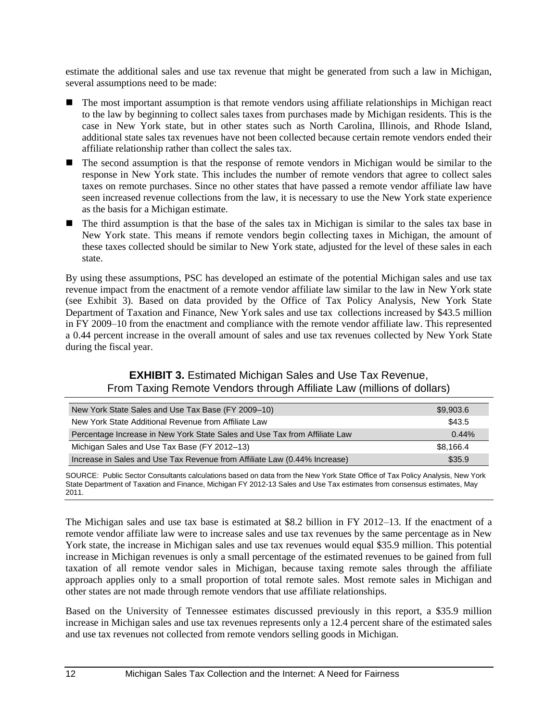estimate the additional sales and use tax revenue that might be generated from such a law in Michigan, several assumptions need to be made:

- The most important assumption is that remote vendors using affiliate relationships in Michigan react to the law by beginning to collect sales taxes from purchases made by Michigan residents. This is the case in New York state, but in other states such as North Carolina, Illinois, and Rhode Island, additional state sales tax revenues have not been collected because certain remote vendors ended their affiliate relationship rather than collect the sales tax.
- The second assumption is that the response of remote vendors in Michigan would be similar to the response in New York state. This includes the number of remote vendors that agree to collect sales taxes on remote purchases. Since no other states that have passed a remote vendor affiliate law have seen increased revenue collections from the law, it is necessary to use the New York state experience as the basis for a Michigan estimate.
- The third assumption is that the base of the sales tax in Michigan is similar to the sales tax base in New York state. This means if remote vendors begin collecting taxes in Michigan, the amount of these taxes collected should be similar to New York state, adjusted for the level of these sales in each state.

By using these assumptions, PSC has developed an estimate of the potential Michigan sales and use tax revenue impact from the enactment of a remote vendor affiliate law similar to the law in New York state (see Exhibit 3). Based on data provided by the Office of Tax Policy Analysis, New York State Department of Taxation and Finance, New York sales and use tax collections increased by \$43.5 million in FY 2009–10 from the enactment and compliance with the remote vendor affiliate law. This represented a 0.44 percent increase in the overall amount of sales and use tax revenues collected by New York State during the fiscal year.

## **EXHIBIT 3.** Estimated Michigan Sales and Use Tax Revenue, From Taxing Remote Vendors through Affiliate Law (millions of dollars)

| New York State Sales and Use Tax Base (FY 2009-10)                         | \$9,903.6 |
|----------------------------------------------------------------------------|-----------|
| New York State Additional Revenue from Affiliate Law                       | \$43.5    |
| Percentage Increase in New York State Sales and Use Tax from Affiliate Law | 0.44%     |
| Michigan Sales and Use Tax Base (FY 2012-13)                               | \$8,166.4 |
| Increase in Sales and Use Tax Revenue from Affiliate Law (0.44% Increase)  | \$35.9    |

SOURCE: Public Sector Consultants calculations based on data from the New York State Office of Tax Policy Analysis, New York State Department of Taxation and Finance, Michigan FY 2012-13 Sales and Use Tax estimates from consensus estimates, May 2011.

The Michigan sales and use tax base is estimated at \$8.2 billion in FY 2012–13. If the enactment of a remote vendor affiliate law were to increase sales and use tax revenues by the same percentage as in New York state, the increase in Michigan sales and use tax revenues would equal \$35.9 million. This potential increase in Michigan revenues is only a small percentage of the estimated revenues to be gained from full taxation of all remote vendor sales in Michigan, because taxing remote sales through the affiliate approach applies only to a small proportion of total remote sales. Most remote sales in Michigan and other states are not made through remote vendors that use affiliate relationships.

Based on the University of Tennessee estimates discussed previously in this report, a \$35.9 million increase in Michigan sales and use tax revenues represents only a 12.4 percent share of the estimated sales and use tax revenues not collected from remote vendors selling goods in Michigan.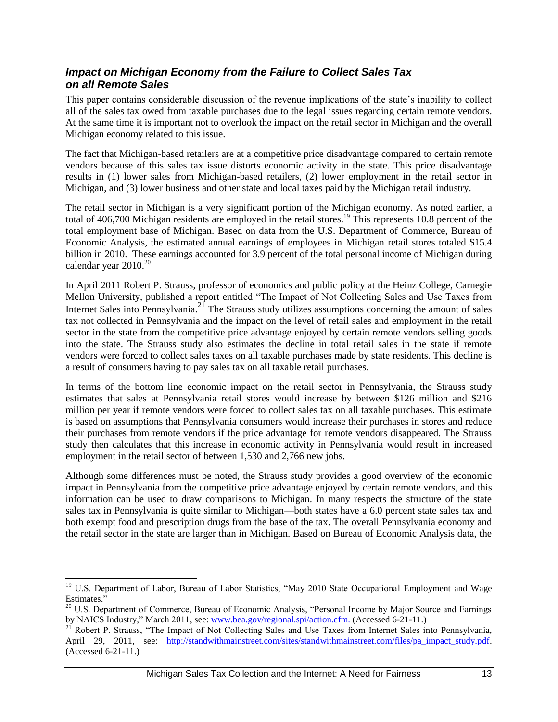## *Impact on Michigan Economy from the Failure to Collect Sales Tax on all Remote Sales*

This paper contains considerable discussion of the revenue implications of the state's inability to collect all of the sales tax owed from taxable purchases due to the legal issues regarding certain remote vendors. At the same time it is important not to overlook the impact on the retail sector in Michigan and the overall Michigan economy related to this issue.

The fact that Michigan-based retailers are at a competitive price disadvantage compared to certain remote vendors because of this sales tax issue distorts economic activity in the state. This price disadvantage results in (1) lower sales from Michigan-based retailers, (2) lower employment in the retail sector in Michigan, and (3) lower business and other state and local taxes paid by the Michigan retail industry.

The retail sector in Michigan is a very significant portion of the Michigan economy. As noted earlier, a total of 406,700 Michigan residents are employed in the retail stores. <sup>19</sup> This represents 10.8 percent of the total employment base of Michigan. Based on data from the U.S. Department of Commerce, Bureau of Economic Analysis, the estimated annual earnings of employees in Michigan retail stores totaled \$15.4 billion in 2010. These earnings accounted for 3.9 percent of the total personal income of Michigan during calendar year 2010.<sup>20</sup>

In April 2011 Robert P. Strauss, professor of economics and public policy at the Heinz College, Carnegie Mellon University, published a report entitled "The Impact of Not Collecting Sales and Use Taxes from Internet Sales into Pennsylvania.<sup>21</sup> The Strauss study utilizes assumptions concerning the amount of sales tax not collected in Pennsylvania and the impact on the level of retail sales and employment in the retail sector in the state from the competitive price advantage enjoyed by certain remote vendors selling goods into the state. The Strauss study also estimates the decline in total retail sales in the state if remote vendors were forced to collect sales taxes on all taxable purchases made by state residents. This decline is a result of consumers having to pay sales tax on all taxable retail purchases.

In terms of the bottom line economic impact on the retail sector in Pennsylvania, the Strauss study estimates that sales at Pennsylvania retail stores would increase by between \$126 million and \$216 million per year if remote vendors were forced to collect sales tax on all taxable purchases. This estimate is based on assumptions that Pennsylvania consumers would increase their purchases in stores and reduce their purchases from remote vendors if the price advantage for remote vendors disappeared. The Strauss study then calculates that this increase in economic activity in Pennsylvania would result in increased employment in the retail sector of between 1,530 and 2,766 new jobs.

Although some differences must be noted, the Strauss study provides a good overview of the economic impact in Pennsylvania from the competitive price advantage enjoyed by certain remote vendors, and this information can be used to draw comparisons to Michigan. In many respects the structure of the state sales tax in Pennsylvania is quite similar to Michigan—both states have a 6.0 percent state sales tax and both exempt food and prescription drugs from the base of the tax. The overall Pennsylvania economy and the retail sector in the state are larger than in Michigan. Based on Bureau of Economic Analysis data, the

 $\overline{a}$ 

<sup>&</sup>lt;sup>19</sup> U.S. Department of Labor, Bureau of Labor Statistics, "May 2010 State Occupational Employment and Wage Estimates."

<sup>&</sup>lt;sup>20</sup> U.S. Department of Commerce, Bureau of Economic Analysis, "Personal Income by Major Source and Earnings by NAICS Industry," March 2011, see[: www.bea.gov/regional.spi/action.cfm.](http://www.bea.gov/regional.spi/action.cfm) (Accessed 6-21-11.)

<sup>&</sup>lt;sup>21</sup> Robert P. Strauss, "The Impact of Not Collecting Sales and Use Taxes from Internet Sales into Pennsylvania, April 29, 2011, see: [http://standwithmainstreet.com/sites/standwithmainstreet.com/files/pa\\_impact\\_study.pdf.](http://standwithmainstreet.com/sites/standwithmainstreet.com/files/pa_impact_study.pdf) (Accessed 6-21-11.)